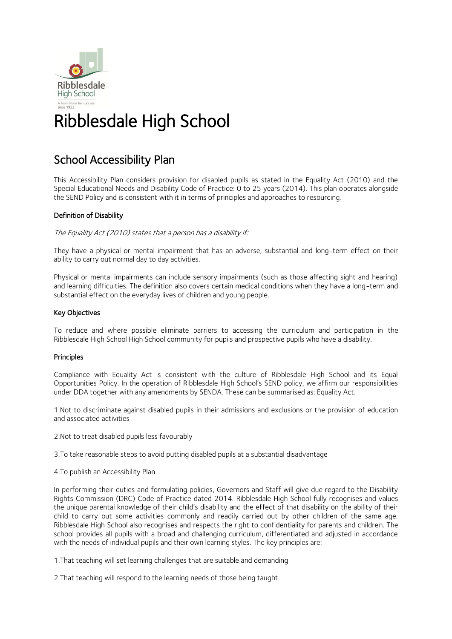

### School Accessibility Plan

This Accessibility Plan considers provision for disabled pupils as stated in the Equality Act (2010) and the Special Educational Needs and Disability Code of Practice: 0 to 25 years (2014). This plan operates alongside the SEND Policy and is consistent with it in terms of principles and approaches to resourcing.

### Definition of Disability

The Equality Act (2010) states that a person has a disability if:

They have a physical or mental impairment that has an adverse, substantial and long-term effect on their ability to carry out normal day to day activities.

Physical or mental impairments can include sensory impairments (such as those affecting sight and hearing) and learning difficulties. The definition also covers certain medical conditions when they have a long-term and substantial effect on the everyday lives of children and young people.

#### Key Objectives

To reduce and where possible eliminate barriers to accessing the curriculum and participation in the Ribblesdale High School High School community for pupils and prospective pupils who have a disability.

#### Principles

Compliance with Equality Act is consistent with the culture of Ribblesdale High School and its Equal Opportunities Policy. In the operation of Ribblesdale High School's SEND policy, we affirm our responsibilities under DDA together with any amendments by SENDA. These can be summarised as: Equality Act.

1.Not to discriminate against disabled pupils in their admissions and exclusions or the provision of education and associated activities

2.Not to treat disabled pupils less favourably

3.To take reasonable steps to avoid putting disabled pupils at a substantial disadvantage

4.To publish an Accessibility Plan

In performing their duties and formulating policies, Governors and Staff will give due regard to the Disability Rights Commission (DRC) Code of Practice dated 2014. Ribblesdale High School fully recognises and values the unique parental knowledge of their child's disability and the effect of that disability on the ability of their child to carry out some activities commonly and readily carried out by other children of the same age. Ribblesdale High School also recognises and respects the right to confidentiality for parents and children. The school provides all pupils with a broad and challenging curriculum, differentiated and adjusted in accordance with the needs of individual pupils and their own learning styles. The key principles are:

1.That teaching will set learning challenges that are suitable and demanding

2.That teaching will respond to the learning needs of those being taught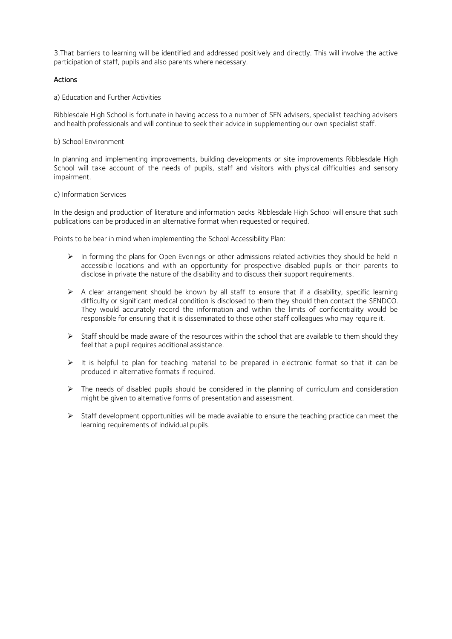3.That barriers to learning will be identified and addressed positively and directly. This will involve the active participation of staff, pupils and also parents where necessary.

#### Actions

a) Education and Further Activities

Ribblesdale High School is fortunate in having access to a number of SEN advisers, specialist teaching advisers and health professionals and will continue to seek their advice in supplementing our own specialist staff.

#### b) School Environment

In planning and implementing improvements, building developments or site improvements Ribblesdale High School will take account of the needs of pupils, staff and visitors with physical difficulties and sensory impairment.

#### c) Information Services

In the design and production of literature and information packs Ribblesdale High School will ensure that such publications can be produced in an alternative format when requested or required.

Points to be bear in mind when implementing the School Accessibility Plan:

- ➢ In forming the plans for Open Evenings or other admissions related activities they should be held in accessible locations and with an opportunity for prospective disabled pupils or their parents to disclose in private the nature of the disability and to discuss their support requirements.
- ➢ A clear arrangement should be known by all staff to ensure that if a disability, specific learning difficulty or significant medical condition is disclosed to them they should then contact the SENDCO. They would accurately record the information and within the limits of confidentiality would be responsible for ensuring that it is disseminated to those other staff colleagues who may require it.
- ➢ Staff should be made aware of the resources within the school that are available to them should they feel that a pupil requires additional assistance.
- $\triangleright$  It is helpful to plan for teaching material to be prepared in electronic format so that it can be produced in alternative formats if required.
- $\triangleright$  The needs of disabled pupils should be considered in the planning of curriculum and consideration might be given to alternative forms of presentation and assessment.
- $\triangleright$  Staff development opportunities will be made available to ensure the teaching practice can meet the learning requirements of individual pupils.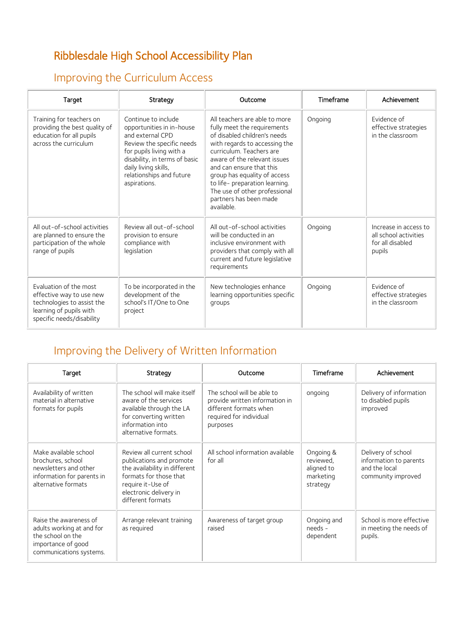# Ribblesdale High School Accessibility Plan

### Improving the Curriculum Access

| Target                                                                                                                                   | Strategy                                                                                                                                                                                                                           | Outcome                                                                                                                                                                                                                                                                                                                                                          | Timeframe | Achievement                                                                  |
|------------------------------------------------------------------------------------------------------------------------------------------|------------------------------------------------------------------------------------------------------------------------------------------------------------------------------------------------------------------------------------|------------------------------------------------------------------------------------------------------------------------------------------------------------------------------------------------------------------------------------------------------------------------------------------------------------------------------------------------------------------|-----------|------------------------------------------------------------------------------|
| Training for teachers on<br>providing the best quality of<br>education for all pupils<br>across the curriculum                           | Continue to include<br>opportunities in in-house<br>and external CPD<br>Review the specific needs<br>for pupils living with a<br>disability, in terms of basic<br>daily living skills,<br>relationships and future<br>aspirations. | All teachers are able to more<br>fully meet the requirements<br>of disabled children's needs<br>with regards to accessing the<br>curriculum. Teachers are<br>aware of the relevant issues<br>and can ensure that this<br>group has equality of access<br>to life- preparation learning.<br>The use of other professional<br>partners has been made<br>available. | Ongoing   | Evidence of<br>effective strategies<br>in the classroom                      |
| All out-of-school activities<br>are planned to ensure the<br>participation of the whole<br>range of pupils                               | Review all out-of-school<br>provision to ensure<br>compliance with<br>legislation                                                                                                                                                  | All out-of-school activities<br>will be conducted in an<br>inclusive environment with<br>providers that comply with all<br>current and future legislative<br>requirements                                                                                                                                                                                        | Ongoing   | Increase in access to<br>all school activities<br>for all disabled<br>pupils |
| Evaluation of the most<br>effective way to use new<br>technologies to assist the<br>learning of pupils with<br>specific needs/disability | To be incorporated in the<br>development of the<br>school's IT/One to One<br>project                                                                                                                                               | New technologies enhance<br>learning opportunities specific<br>groups                                                                                                                                                                                                                                                                                            | Ongoing   | Evidence of<br>effective strategies<br>in the classroom                      |

## Improving the Delivery of Written Information

| Target                                                                                                                    | Strategy                                                                                                                                                                             | Outcome                                                                                                                       | Timeframe                                                     | Achievement                                                                         |
|---------------------------------------------------------------------------------------------------------------------------|--------------------------------------------------------------------------------------------------------------------------------------------------------------------------------------|-------------------------------------------------------------------------------------------------------------------------------|---------------------------------------------------------------|-------------------------------------------------------------------------------------|
| Availability of written<br>material in alternative<br>formats for pupils                                                  | The school will make itself<br>aware of the services<br>available through the LA<br>for converting written<br>information into<br>alternative formats.                               | The school will be able to<br>provide written information in<br>different formats when<br>required for individual<br>purposes | ongoing                                                       | Delivery of information<br>to disabled pupils<br>improved                           |
| Make available school<br>brochures, school<br>newsletters and other<br>information for parents in<br>alternative formats  | Review all current school<br>publications and promote<br>the availability in different<br>formats for those that<br>require it-Use of<br>electronic delivery in<br>different formats | All school information available<br>for all                                                                                   | Ongoing &<br>reviewed,<br>aligned to<br>marketing<br>strategy | Delivery of school<br>information to parents<br>and the local<br>community improved |
| Raise the awareness of<br>adults working at and for<br>the school on the<br>importance of good<br>communications systems. | Arrange relevant training<br>as required                                                                                                                                             | Awareness of target group<br>raised                                                                                           | Ongoing and<br>needs -<br>dependent                           | School is more effective<br>in meeting the needs of<br>pupils.                      |